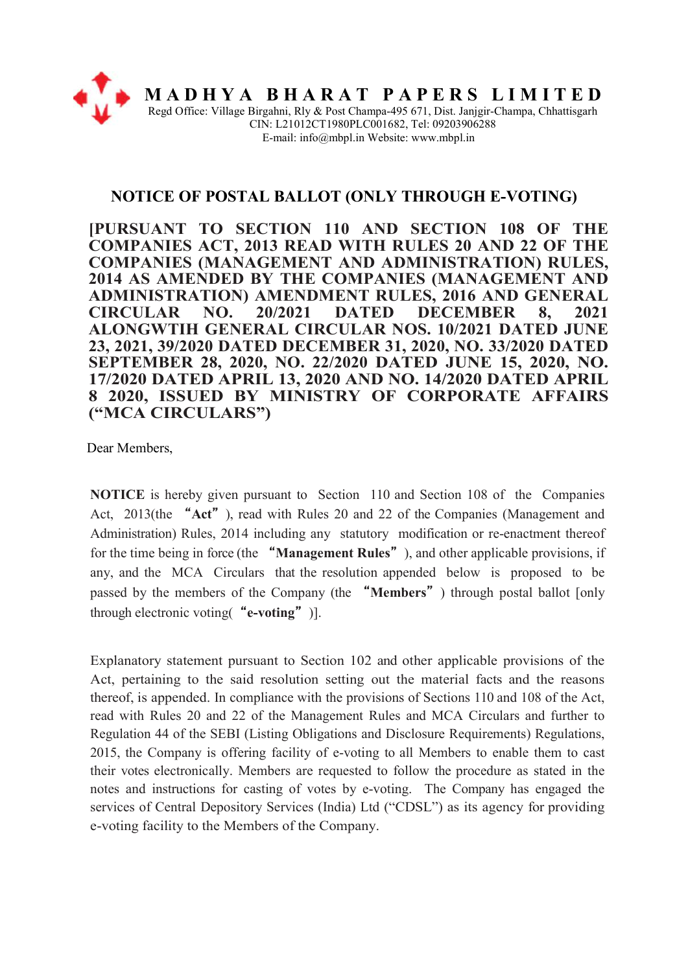

NOTICE OF POSTAL BALLOT (ONLY THROUGH E-VOTING)

[PURSUANT TO SECTION 110 AND SECTION 108 OF THE COMPANIES ACT, 2013 READ WITH RULES 20 AND 22 OF THE COMPANIES (MANAGEMENT AND ADMINISTRATION) RULES, 2014 AS AMENDED BY THE COMPANIES (MANAGEMENT AND ADMINISTRATION) AMENDMENT RULES, 2016 AND GENERAL CIRCULAR NO. 20/2021 DATED DECEMBER 8, 2021 ALONGWTIH GENERAL CIRCULAR NOS. 10/2021 DATED JUNE 23, 2021, 39/2020 DATED DECEMBER 31, 2020, NO. 33/2020 DATED SEPTEMBER 28, 2020, NO. 22/2020 DATED JUNE 15, 2020, NO. 17/2020 DATED APRIL 13, 2020 AND NO. 14/2020 DATED APRIL 8 2020, ISSUED BY MINISTRY OF CORPORATE AFFAIRS ("MCA CIRCULARS")

Dear Members,

NOTICE is hereby given pursuant to Section 110 and Section 108 of the Companies Act, 2013(the "Act"), read with Rules 20 and 22 of the Companies (Management and Administration) Rules, 2014 including any statutory modification or re-enactment thereof for the time being in force (the "Management Rules"), and other applicable provisions, if any, and the MCA Circulars that the resolution appended below is proposed to be passed by the members of the Company (the "Members") through postal ballot [only through electronic voting( $"$ e-voting")].

Explanatory statement pursuant to Section 102 and other applicable provisions of the Act, pertaining to the said resolution setting out the material facts and the reasons thereof, is appended. In compliance with the provisions of Sections 110 and 108 of the Act, read with Rules 20 and 22 of the Management Rules and MCA Circulars and further to Regulation 44 of the SEBI (Listing Obligations and Disclosure Requirements) Regulations, 2015, the Company is offering facility of e-voting to all Members to enable them to cast their votes electronically. Members are requested to follow the procedure as stated in the notes and instructions for casting of votes by e-voting. The Company has engaged the services of Central Depository Services (India) Ltd ("CDSL") as its agency for providing e-voting facility to the Members of the Company.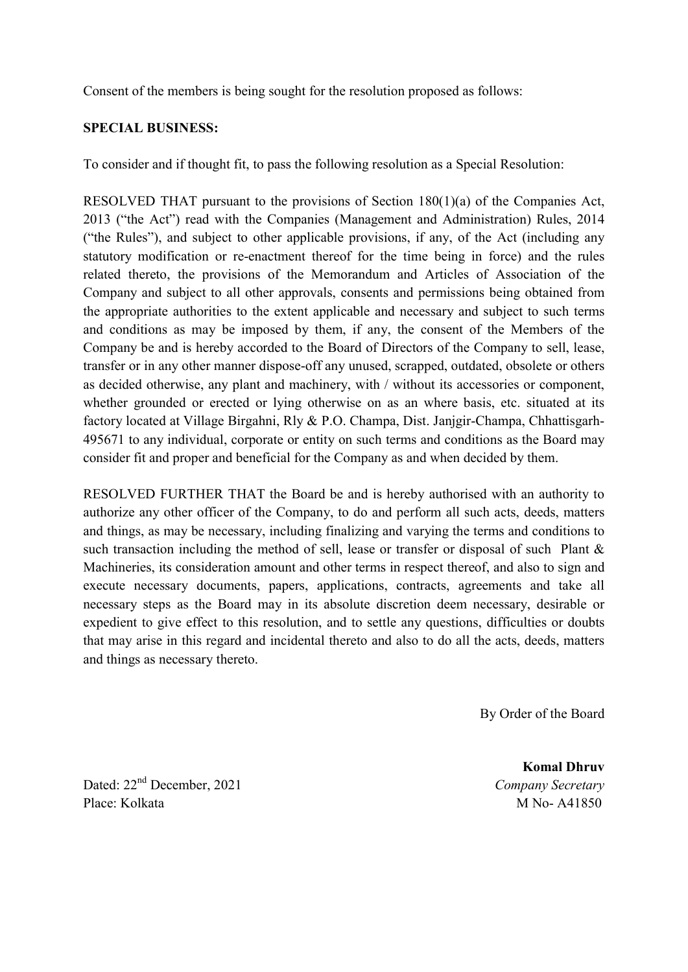Consent of the members is being sought for the resolution proposed as follows:

#### SPECIAL BUSINESS:

To consider and if thought fit, to pass the following resolution as a Special Resolution:

RESOLVED THAT pursuant to the provisions of Section 180(1)(a) of the Companies Act, 2013 ("the Act") read with the Companies (Management and Administration) Rules, 2014 ("the Rules"), and subject to other applicable provisions, if any, of the Act (including any statutory modification or re-enactment thereof for the time being in force) and the rules related thereto, the provisions of the Memorandum and Articles of Association of the Company and subject to all other approvals, consents and permissions being obtained from the appropriate authorities to the extent applicable and necessary and subject to such terms and conditions as may be imposed by them, if any, the consent of the Members of the Company be and is hereby accorded to the Board of Directors of the Company to sell, lease, transfer or in any other manner dispose-off any unused, scrapped, outdated, obsolete or others as decided otherwise, any plant and machinery, with / without its accessories or component, whether grounded or erected or lying otherwise on as an where basis, etc. situated at its factory located at Village Birgahni, Rly & P.O. Champa, Dist. Janjgir-Champa, Chhattisgarh-495671 to any individual, corporate or entity on such terms and conditions as the Board may consider fit and proper and beneficial for the Company as and when decided by them.

RESOLVED FURTHER THAT the Board be and is hereby authorised with an authority to authorize any other officer of the Company, to do and perform all such acts, deeds, matters and things, as may be necessary, including finalizing and varying the terms and conditions to such transaction including the method of sell, lease or transfer or disposal of such Plant & Machineries, its consideration amount and other terms in respect thereof, and also to sign and execute necessary documents, papers, applications, contracts, agreements and take all necessary steps as the Board may in its absolute discretion deem necessary, desirable or expedient to give effect to this resolution, and to settle any questions, difficulties or doubts that may arise in this regard and incidental thereto and also to do all the acts, deeds, matters and things as necessary thereto.

By Order of the Board

Komal Dhruv

Dated:  $22<sup>nd</sup>$  December, 2021 Company Secretary Place: Kolkata M No- A41850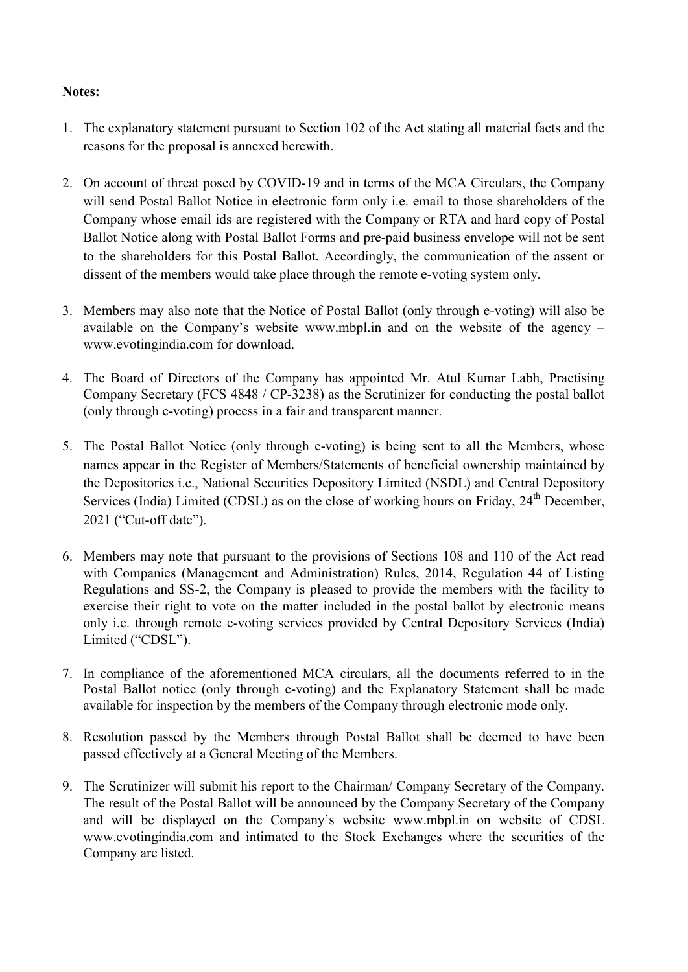#### Notes:

- 1. The explanatory statement pursuant to Section 102 of the Act stating all material facts and the reasons for the proposal is annexed herewith.
- 2. On account of threat posed by COVID-19 and in terms of the MCA Circulars, the Company will send Postal Ballot Notice in electronic form only i.e. email to those shareholders of the Company whose email ids are registered with the Company or RTA and hard copy of Postal Ballot Notice along with Postal Ballot Forms and pre-paid business envelope will not be sent to the shareholders for this Postal Ballot. Accordingly, the communication of the assent or dissent of the members would take place through the remote e-voting system only.
- 3. Members may also note that the Notice of Postal Ballot (only through e-voting) will also be available on the Company's website www.mbpl.in and on the website of the agency – www.evotingindia.com for download.
- 4. The Board of Directors of the Company has appointed Mr. Atul Kumar Labh, Practising Company Secretary (FCS 4848 / CP-3238) as the Scrutinizer for conducting the postal ballot (only through e-voting) process in a fair and transparent manner.
- 5. The Postal Ballot Notice (only through e-voting) is being sent to all the Members, whose names appear in the Register of Members/Statements of beneficial ownership maintained by the Depositories i.e., National Securities Depository Limited (NSDL) and Central Depository Services (India) Limited (CDSL) as on the close of working hours on Friday, 24<sup>th</sup> December, 2021 ("Cut-off date").
- 6. Members may note that pursuant to the provisions of Sections 108 and 110 of the Act read with Companies (Management and Administration) Rules, 2014, Regulation 44 of Listing Regulations and SS-2, the Company is pleased to provide the members with the facility to exercise their right to vote on the matter included in the postal ballot by electronic means only i.e. through remote e-voting services provided by Central Depository Services (India) Limited ("CDSL").
- 7. In compliance of the aforementioned MCA circulars, all the documents referred to in the Postal Ballot notice (only through e-voting) and the Explanatory Statement shall be made available for inspection by the members of the Company through electronic mode only.
- 8. Resolution passed by the Members through Postal Ballot shall be deemed to have been passed effectively at a General Meeting of the Members.
- 9. The Scrutinizer will submit his report to the Chairman/ Company Secretary of the Company. The result of the Postal Ballot will be announced by the Company Secretary of the Company and will be displayed on the Company's website www.mbpl.in on website of CDSL www.evotingindia.com and intimated to the Stock Exchanges where the securities of the Company are listed.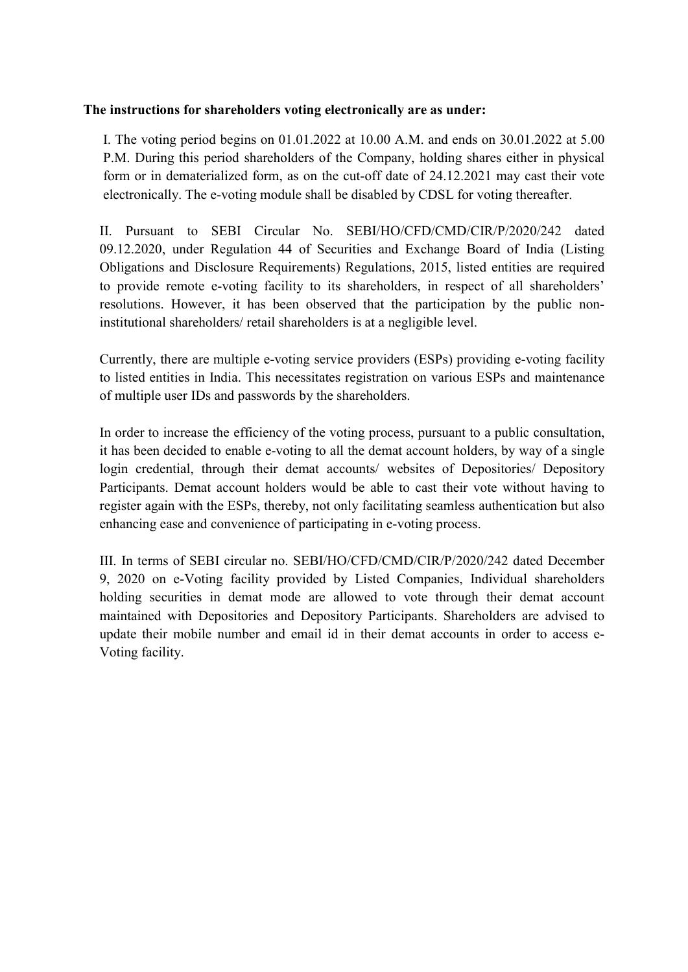#### The instructions for shareholders voting electronically are as under:

I. The voting period begins on 01.01.2022 at 10.00 A.M. and ends on 30.01.2022 at 5.00 P.M. During this period shareholders of the Company, holding shares either in physical form or in dematerialized form, as on the cut-off date of 24.12.2021 may cast their vote electronically. The e-voting module shall be disabled by CDSL for voting thereafter.

II. Pursuant to SEBI Circular No. SEBI/HO/CFD/CMD/CIR/P/2020/242 dated 09.12.2020, under Regulation 44 of Securities and Exchange Board of India (Listing Obligations and Disclosure Requirements) Regulations, 2015, listed entities are required to provide remote e-voting facility to its shareholders, in respect of all shareholders' resolutions. However, it has been observed that the participation by the public noninstitutional shareholders/ retail shareholders is at a negligible level.

Currently, there are multiple e-voting service providers (ESPs) providing e-voting facility to listed entities in India. This necessitates registration on various ESPs and maintenance of multiple user IDs and passwords by the shareholders.

In order to increase the efficiency of the voting process, pursuant to a public consultation, it has been decided to enable e-voting to all the demat account holders, by way of a single login credential, through their demat accounts/ websites of Depositories/ Depository Participants. Demat account holders would be able to cast their vote without having to register again with the ESPs, thereby, not only facilitating seamless authentication but also enhancing ease and convenience of participating in e-voting process.

III. In terms of SEBI circular no. SEBI/HO/CFD/CMD/CIR/P/2020/242 dated December 9, 2020 on e-Voting facility provided by Listed Companies, Individual shareholders holding securities in demat mode are allowed to vote through their demat account maintained with Depositories and Depository Participants. Shareholders are advised to update their mobile number and email id in their demat accounts in order to access e-Voting facility.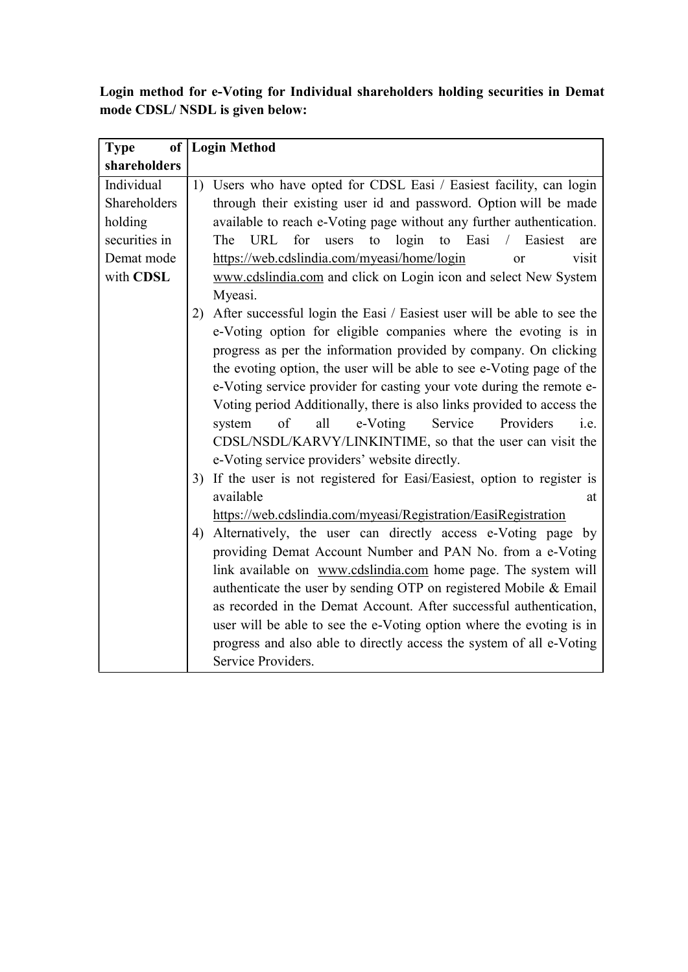Login method for e-Voting for Individual shareholders holding securities in Demat mode CDSL/ NSDL is given below:

| <b>Type</b>   | of   Login Method                                                            |
|---------------|------------------------------------------------------------------------------|
| shareholders  |                                                                              |
| Individual    | 1) Users who have opted for CDSL Easi / Easiest facility, can login          |
| Shareholders  | through their existing user id and password. Option will be made             |
| holding       | available to reach e-Voting page without any further authentication.         |
| securities in | URL<br>for<br>login<br>to Easi / Easiest<br>The<br>to<br>users<br>are        |
| Demat mode    | https://web.cdslindia.com/myeasi/home/login<br>visit<br>or                   |
| with CDSL     | www.cdslindia.com and click on Login icon and select New System              |
|               | Myeasi.                                                                      |
|               | After successful login the Easi / Easiest user will be able to see the<br>2) |
|               | e-Voting option for eligible companies where the evoting is in               |
|               | progress as per the information provided by company. On clicking             |
|               | the evoting option, the user will be able to see e-Voting page of the        |
|               | e-Voting service provider for casting your vote during the remote e-         |
|               | Voting period Additionally, there is also links provided to access the       |
|               | Service<br>of<br>all<br>e-Voting<br>Providers<br>system<br>i.e.              |
|               | CDSL/NSDL/KARVY/LINKINTIME, so that the user can visit the                   |
|               | e-Voting service providers' website directly.                                |
|               | If the user is not registered for Easi/Easiest, option to register is<br>3)  |
|               | available<br>at                                                              |
|               | https://web.cdslindia.com/myeasi/Registration/EasiRegistration               |
|               | Alternatively, the user can directly access e-Voting page by<br>4)           |
|               | providing Demat Account Number and PAN No. from a e-Voting                   |
|               | link available on www.cdslindia.com home page. The system will               |
|               | authenticate the user by sending OTP on registered Mobile & Email            |
|               | as recorded in the Demat Account. After successful authentication,           |
|               | user will be able to see the e-Voting option where the evoting is in         |
|               | progress and also able to directly access the system of all e-Voting         |
|               | Service Providers.                                                           |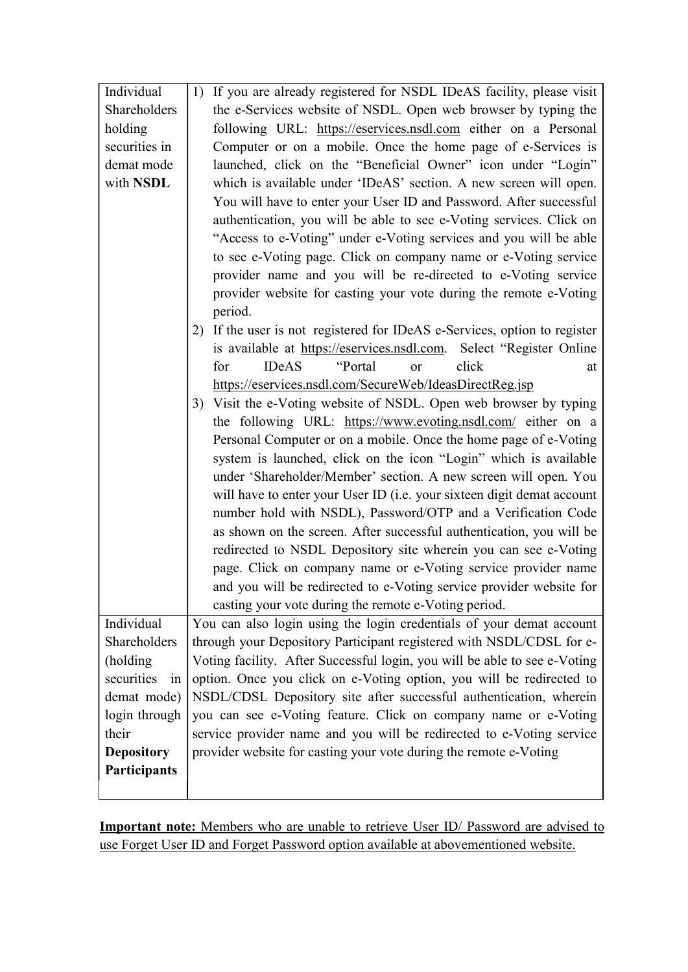| Individual          | 1) If you are already registered for NSDL IDeAS facility, please visit    |  |  |  |  |  |  |
|---------------------|---------------------------------------------------------------------------|--|--|--|--|--|--|
| Shareholders        | the e-Services website of NSDL. Open web browser by typing the            |  |  |  |  |  |  |
| holding             | following URL: https://eservices.nsdl.com either on a Personal            |  |  |  |  |  |  |
| securities in       | Computer or on a mobile. Once the home page of e-Services is              |  |  |  |  |  |  |
| demat mode          | launched, click on the "Beneficial Owner" icon under "Login"              |  |  |  |  |  |  |
| with <b>NSDL</b>    | which is available under 'IDeAS' section. A new screen will open.         |  |  |  |  |  |  |
|                     | You will have to enter your User ID and Password. After successful        |  |  |  |  |  |  |
|                     | authentication, you will be able to see e-Voting services. Click on       |  |  |  |  |  |  |
|                     | "Access to e-Voting" under e-Voting services and you will be able         |  |  |  |  |  |  |
|                     | to see e-Voting page. Click on company name or e-Voting service           |  |  |  |  |  |  |
|                     | provider name and you will be re-directed to e-Voting service             |  |  |  |  |  |  |
|                     | provider website for casting your vote during the remote e-Voting         |  |  |  |  |  |  |
|                     | period.                                                                   |  |  |  |  |  |  |
|                     | 2) If the user is not registered for IDeAS e-Services, option to register |  |  |  |  |  |  |
|                     | is available at https://eservices.nsdl.com. Select "Register Online       |  |  |  |  |  |  |
|                     | "Portal<br>click<br>for<br><b>IDeAS</b><br><sub>or</sub><br>at            |  |  |  |  |  |  |
|                     | https://eservices.nsdl.com/SecureWeb/IdeasDirectReg.jsp                   |  |  |  |  |  |  |
|                     | 3) Visit the e-Voting website of NSDL. Open web browser by typing         |  |  |  |  |  |  |
|                     | the following URL: https://www.evoting.nsdl.com/ either on a              |  |  |  |  |  |  |
|                     | Personal Computer or on a mobile. Once the home page of e-Voting          |  |  |  |  |  |  |
|                     | system is launched, click on the icon "Login" which is available          |  |  |  |  |  |  |
|                     | under 'Shareholder/Member' section. A new screen will open. You           |  |  |  |  |  |  |
|                     | will have to enter your User ID (i.e. your sixteen digit demat account    |  |  |  |  |  |  |
|                     | number hold with NSDL), Password/OTP and a Verification Code              |  |  |  |  |  |  |
|                     | as shown on the screen. After successful authentication, you will be      |  |  |  |  |  |  |
|                     | redirected to NSDL Depository site wherein you can see e-Voting           |  |  |  |  |  |  |
|                     | page. Click on company name or e-Voting service provider name             |  |  |  |  |  |  |
|                     | and you will be redirected to e-Voting service provider website for       |  |  |  |  |  |  |
|                     | casting your vote during the remote e-Voting period.                      |  |  |  |  |  |  |
| Individual          | You can also login using the login credentials of your demat account      |  |  |  |  |  |  |
| Shareholders        | through your Depository Participant registered with NSDL/CDSL for e-      |  |  |  |  |  |  |
| (holding)           | Voting facility. After Successful login, you will be able to see e-Voting |  |  |  |  |  |  |
| securities<br>in    | option. Once you click on e-Voting option, you will be redirected to      |  |  |  |  |  |  |
| demat mode)         | NSDL/CDSL Depository site after successful authentication, wherein        |  |  |  |  |  |  |
| login through       | you can see e-Voting feature. Click on company name or e-Voting           |  |  |  |  |  |  |
| their               | service provider name and you will be redirected to e-Voting service      |  |  |  |  |  |  |
| <b>Depository</b>   | provider website for casting your vote during the remote e-Voting         |  |  |  |  |  |  |
| <b>Participants</b> |                                                                           |  |  |  |  |  |  |
|                     |                                                                           |  |  |  |  |  |  |

Important note: Members who are unable to retrieve User ID/ Password are advised to use Forget User ID and Forget Password option available at abovementioned website.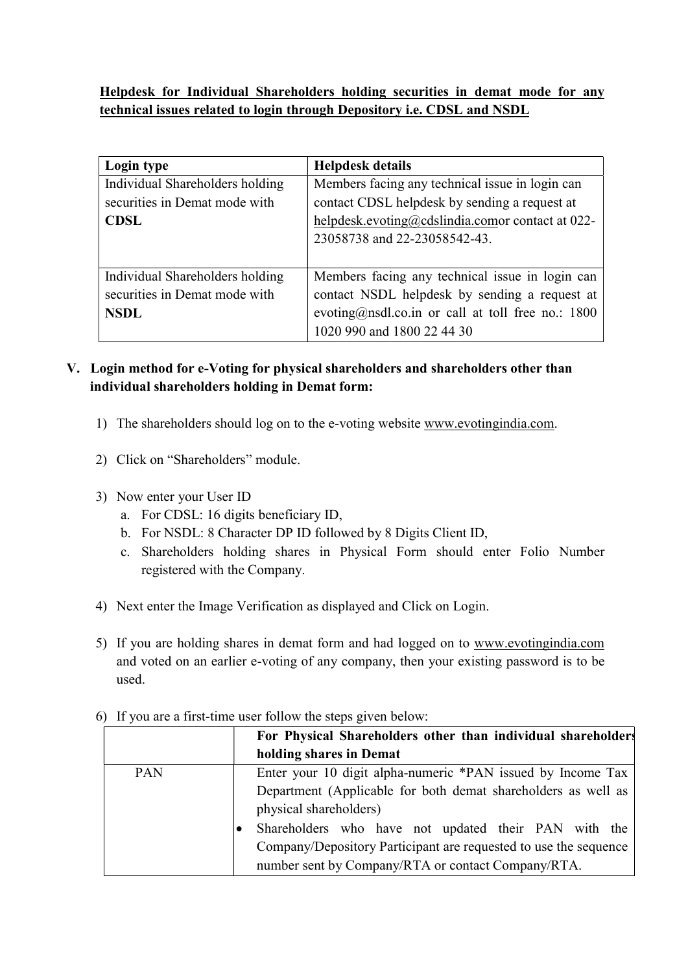Helpdesk for Individual Shareholders holding securities in demat mode for any technical issues related to login through Depository i.e. CDSL and NSDL

| Login type                                                                      | <b>Helpdesk details</b>                                                                                                                                                               |
|---------------------------------------------------------------------------------|---------------------------------------------------------------------------------------------------------------------------------------------------------------------------------------|
| Individual Shareholders holding<br>securities in Demat mode with                | Members facing any technical issue in login can                                                                                                                                       |
| <b>CDSL</b>                                                                     | contact CDSL helpdesk by sending a request at<br>helpdesk.evoting@cdslindia.comor contact at 022-<br>23058738 and 22-23058542-43.                                                     |
| Individual Shareholders holding<br>securities in Demat mode with<br><b>NSDL</b> | Members facing any technical issue in login can<br>contact NSDL helpdesk by sending a request at<br>evoting@nsdl.co.in or call at toll free no.: $1800$<br>1020 990 and 1800 22 44 30 |

### V. Login method for e-Voting for physical shareholders and shareholders other than individual shareholders holding in Demat form:

- 1) The shareholders should log on to the e-voting website www.evotingindia.com.
- 2) Click on "Shareholders" module.
- 3) Now enter your User ID
	- a. For CDSL: 16 digits beneficiary ID,
	- b. For NSDL: 8 Character DP ID followed by 8 Digits Client ID,
	- c. Shareholders holding shares in Physical Form should enter Folio Number registered with the Company.
- 4) Next enter the Image Verification as displayed and Click on Login.
- 5) If you are holding shares in demat form and had logged on to www.evotingindia.com and voted on an earlier e-voting of any company, then your existing password is to be used.

|     | For Physical Shareholders other than individual shareholders     |  |  |  |  |  |
|-----|------------------------------------------------------------------|--|--|--|--|--|
|     | holding shares in Demat                                          |  |  |  |  |  |
| PAN | Enter your 10 digit alpha-numeric *PAN issued by Income Tax      |  |  |  |  |  |
|     | Department (Applicable for both demat shareholders as well as    |  |  |  |  |  |
|     | physical shareholders)                                           |  |  |  |  |  |
|     | Shareholders who have not updated their PAN with the             |  |  |  |  |  |
|     | Company/Depository Participant are requested to use the sequence |  |  |  |  |  |
|     | number sent by Company/RTA or contact Company/RTA.               |  |  |  |  |  |

6) If you are a first-time user follow the steps given below: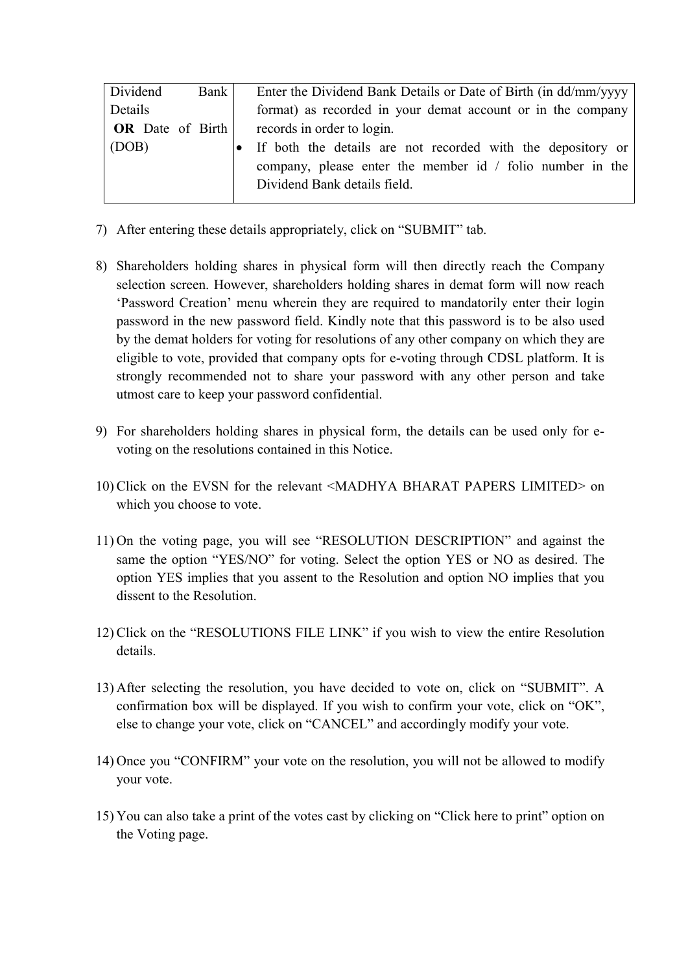| Dividend                | Bank | Enter the Dividend Bank Details or Date of Birth (in dd/mm/yyyy |
|-------------------------|------|-----------------------------------------------------------------|
| Details                 |      | format) as recorded in your demat account or in the company     |
| <b>OR</b> Date of Birth |      | records in order to login.                                      |
| (DOB)                   |      | If both the details are not recorded with the depository or     |
|                         |      | company, please enter the member id $\ell$ folio number in the  |
|                         |      | Dividend Bank details field.                                    |
|                         |      |                                                                 |

- 7) After entering these details appropriately, click on "SUBMIT" tab.
- 8) Shareholders holding shares in physical form will then directly reach the Company selection screen. However, shareholders holding shares in demat form will now reach 'Password Creation' menu wherein they are required to mandatorily enter their login password in the new password field. Kindly note that this password is to be also used by the demat holders for voting for resolutions of any other company on which they are eligible to vote, provided that company opts for e-voting through CDSL platform. It is strongly recommended not to share your password with any other person and take utmost care to keep your password confidential.
- 9) For shareholders holding shares in physical form, the details can be used only for evoting on the resolutions contained in this Notice.
- 10) Click on the EVSN for the relevant <MADHYA BHARAT PAPERS LIMITED> on which you choose to vote.
- 11) On the voting page, you will see "RESOLUTION DESCRIPTION" and against the same the option "YES/NO" for voting. Select the option YES or NO as desired. The option YES implies that you assent to the Resolution and option NO implies that you dissent to the Resolution.
- 12) Click on the "RESOLUTIONS FILE LINK" if you wish to view the entire Resolution details.
- 13) After selecting the resolution, you have decided to vote on, click on "SUBMIT". A confirmation box will be displayed. If you wish to confirm your vote, click on "OK", else to change your vote, click on "CANCEL" and accordingly modify your vote.
- 14) Once you "CONFIRM" your vote on the resolution, you will not be allowed to modify your vote.
- 15) You can also take a print of the votes cast by clicking on "Click here to print" option on the Voting page.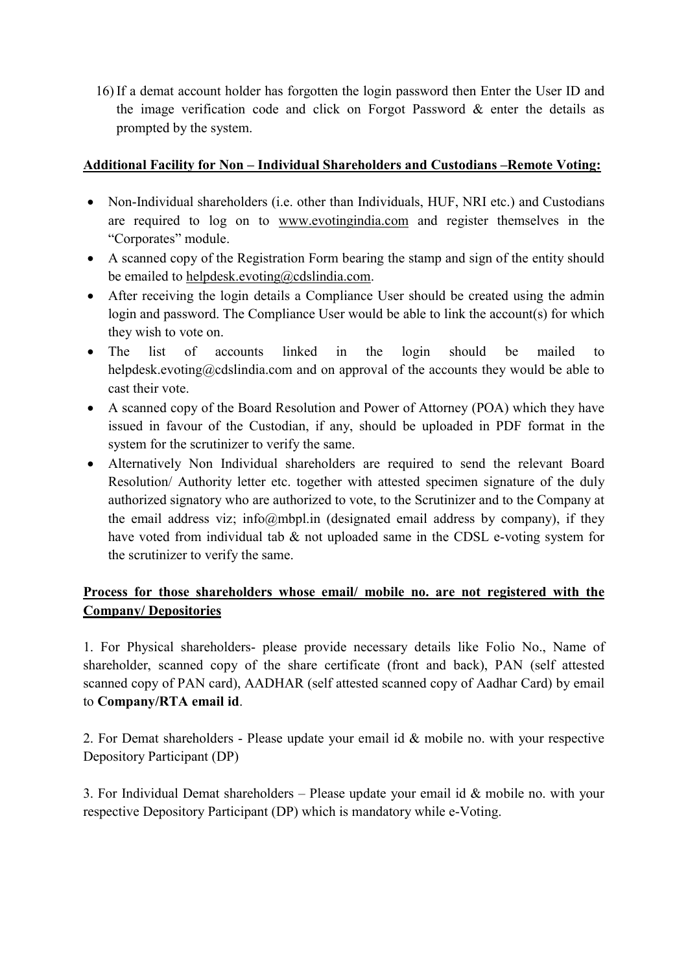16) If a demat account holder has forgotten the login password then Enter the User ID and the image verification code and click on Forgot Password & enter the details as prompted by the system.

### Additional Facility for Non – Individual Shareholders and Custodians –Remote Voting:

- Non-Individual shareholders (i.e. other than Individuals, HUF, NRI etc.) and Custodians are required to log on to www.evotingindia.com and register themselves in the "Corporates" module.
- A scanned copy of the Registration Form bearing the stamp and sign of the entity should be emailed to helpdesk.evoting@cdslindia.com.
- After receiving the login details a Compliance User should be created using the admin login and password. The Compliance User would be able to link the account(s) for which they wish to vote on.
- The list of accounts linked in the login should be mailed to helpdesk.evoting@cdslindia.com and on approval of the accounts they would be able to cast their vote.
- A scanned copy of the Board Resolution and Power of Attorney (POA) which they have issued in favour of the Custodian, if any, should be uploaded in PDF format in the system for the scrutinizer to verify the same.
- Alternatively Non Individual shareholders are required to send the relevant Board Resolution/ Authority letter etc. together with attested specimen signature of the duly authorized signatory who are authorized to vote, to the Scrutinizer and to the Company at the email address viz; info@mbpl.in (designated email address by company), if they have voted from individual tab & not uploaded same in the CDSL e-voting system for the scrutinizer to verify the same.

# Process for those shareholders whose email/ mobile no. are not registered with the Company/ Depositories

1. For Physical shareholders- please provide necessary details like Folio No., Name of shareholder, scanned copy of the share certificate (front and back), PAN (self attested scanned copy of PAN card), AADHAR (self attested scanned copy of Aadhar Card) by email to Company/RTA email id.

2. For Demat shareholders - Please update your email id & mobile no. with your respective Depository Participant (DP)

3. For Individual Demat shareholders – Please update your email id  $&$  mobile no. with your respective Depository Participant (DP) which is mandatory while e-Voting.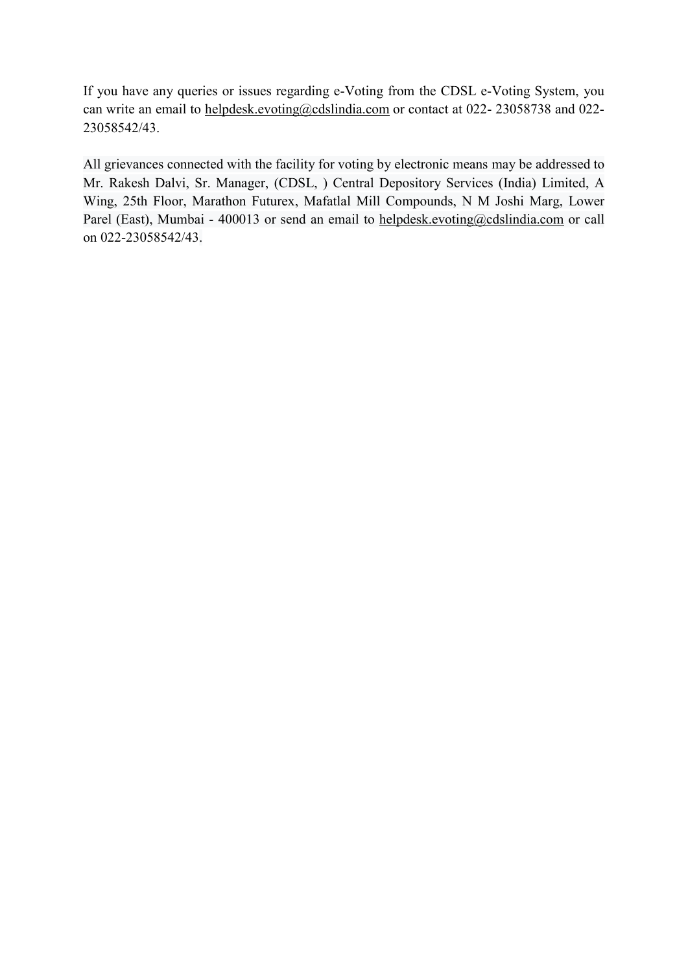If you have any queries or issues regarding e-Voting from the CDSL e-Voting System, you can write an email to helpdesk.evoting@cdslindia.com or contact at 022- 23058738 and 022- 23058542/43.

All grievances connected with the facility for voting by electronic means may be addressed to Mr. Rakesh Dalvi, Sr. Manager, (CDSL, ) Central Depository Services (India) Limited, A Wing, 25th Floor, Marathon Futurex, Mafatlal Mill Compounds, N M Joshi Marg, Lower Parel (East), Mumbai - 400013 or send an email to helpdesk.evoting@cdslindia.com or call on 022-23058542/43.